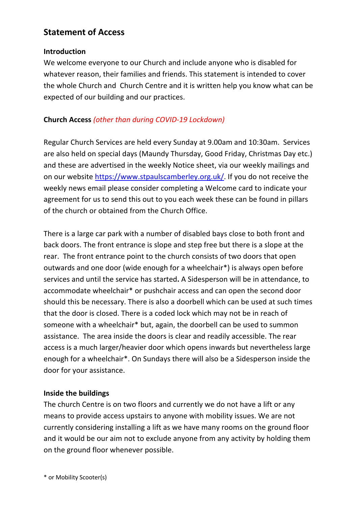# **Statement of Access**

#### **Introduction**

We welcome everyone to our Church and include anyone who is disabled for whatever reason, their families and friends. This statement is intended to cover the whole Church and Church Centre and it is written help you know what can be expected of our building and our practices.

## **Church Access** *(other than during COVID-19 Lockdown)*

Regular Church Services are held every Sunday at 9.00am and 10:30am. Services are also held on special days (Maundy Thursday, Good Friday, Christmas Day etc.) and these are advertised in the weekly Notice sheet, via our weekly mailings and on our website https://www.stpaulscamberley.org.uk/. If you do not receive the weekly news email please consider completing a Welcome card to indicate your agreement for us to send this out to you each week these can be found in pillars of the church or obtained from the Church Office.

There is a large car park with a number of disabled bays close to both front and back doors. The front entrance is slope and step free but there is a slope at the rear. The front entrance point to the church consists of two doors that open outwards and one door (wide enough for a wheelchair\*) is always open before services and until the service has started**.** A Sidesperson will be in attendance, to accommodate wheelchair\* or pushchair access and can open the second door should this be necessary. There is also a doorbell which can be used at such times that the door is closed. There is a coded lock which may not be in reach of someone with a wheelchair\* but, again, the doorbell can be used to summon assistance. The area inside the doors is clear and readily accessible. The rear access is a much larger/heavier door which opens inwards but nevertheless large enough for a wheelchair\*. On Sundays there will also be a Sidesperson inside the door for your assistance.

#### **Inside the buildings**

The church Centre is on two floors and currently we do not have a lift or any means to provide access upstairs to anyone with mobility issues. We are not currently considering installing a lift as we have many rooms on the ground floor and it would be our aim not to exclude anyone from any activity by holding them on the ground floor whenever possible.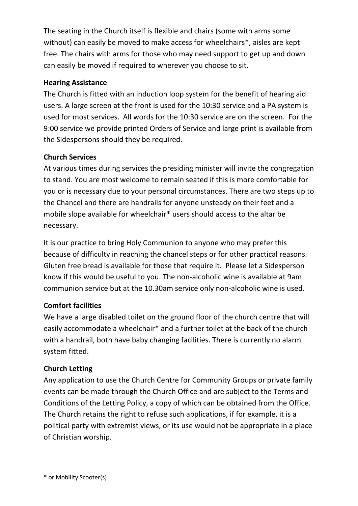The seating in the Church itself is flexible and chairs (some with arms some without) can easily be moved to make access for wheelchairs<sup>\*</sup>, aisles are kept free. The chairs with arms for those who may need support to get up and down can easily be moved if required to wherever you choose to sit.

## **Hearing Assistance**

The Church is fitted with an induction loop system for the benefit of hearing aid users. A large screen at the front is used for the 10:30 service and a PA system is used for most services. All words for the 10:30 service are on the screen. For the 9:00 service we provide printed Orders of Service and large print is available from the Sidespersons should they be required.

# **Church Services**

At various times during services the presiding minister will invite the congregation to stand. You are most welcome to remain seated if this is more comfortable for you or is necessary due to your personal circumstances. There are two steps up to the Chancel and there are handrails for anyone unsteady on their feet and a mobile slope available for wheelchair\* users should access to the altar be necessary.

It is our practice to bring Holy Communion to anyone who may prefer this because of difficulty in reaching the chancel steps or for other practical reasons. Gluten free bread is available for those that require it. Please let a Sidesperson know if this would be useful to you. The non-alcoholic wine is available at 9am communion service but at the 10.30am service only non-alcoholic wine is used.

# **Comfort facilities**

We have a large disabled toilet on the ground floor of the church centre that will easily accommodate a wheelchair\* and a further toilet at the back of the church with a handrail, both have baby changing facilities. There is currently no alarm system fitted.

# **Church Letting**

Any application to use the Church Centre for Community Groups or private family events can be made through the Church Office and are subject to the Terms and Conditions of the Letting Policy, a copy of which can be obtained from the Office. The Church retains the right to refuse such applications, if for example, it is a political party with extremist views, or its use would not be appropriate in a place of Christian worship.